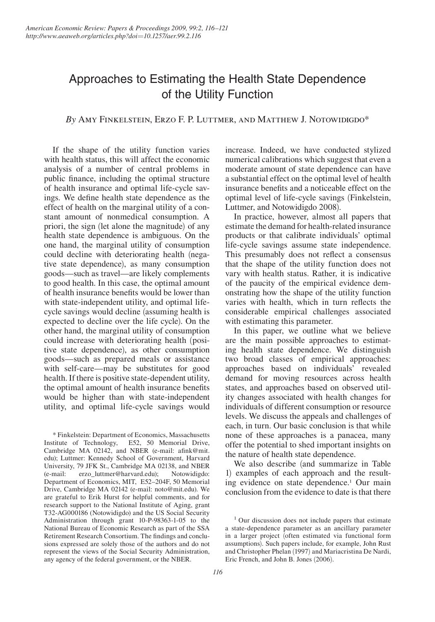# Approaches to Estimating the Health State Dependence of the Utility Function

# *By* Amy Finkelstein, Erzo F. P. Luttmer, and Matthew J. Notowidigdo\*

If the shape of the utility function varies with health status, this will affect the economic analysis of a number of central problems in public finance, including the optimal structure of health insurance and optimal life-cycle savings. We define health state dependence as the effect of health on the marginal utility of a constant amount of nonmedical consumption. A priori, the sign (let alone the magnitude) of any health state dependence is ambiguous. On the one hand, the marginal utility of consumption could decline with deteriorating health (negative state dependence), as many consumption goods—such as travel—are likely complements to good health. In this case, the optimal amount of health insurance benefits would be lower than with state-independent utility, and optimal lifecycle savings would decline (assuming health is expected to decline over the life cycle). On the other hand, the marginal utility of consumption could increase with deteriorating health (positive state dependence), as other consumption goods—such as prepared meals or assistance with self-care—may be substitutes for good health. If there is positive state-dependent utility, the optimal amount of health insurance benefits would be higher than with state-independent utility, and optimal life-cycle savings would

\* Finkelstein: Department of Economics, Massachusetts Institute of Technology, E52, 50 Memorial Drive, Cambridge MA 02142, and NBER (e-mail: afink@mit. edu); Luttmer: Kennedy School of Government, Harvard University, 79 JFK St., Cambridge MA 02138, and NBER (e-mail: erzo\_luttmer@harvard.edu); Notowidigdo: Department of Economics, MIT, E52–204F, 50 Memorial Drive, Cambridge MA 02142 (e-mail: noto@mit.edu). We are grateful to Erik Hurst for helpful comments, and for research support to the National Institute of Aging, grant T32-AG000186 (Notowidigdo) and the US Social Security Administration through grant 10-P-98363-1-05 to the National Bureau of Economic Research as part of the SSA Retirement Research Consortium. The findings and conclusions expressed are solely those of the authors and do not represent the views of the Social Security Administration, any agency of the federal government, or the NBER.

increase. Indeed, we have conducted stylized numerical calibrations which suggest that even a moderate amount of state dependence can have a substantial effect on the optimal level of health insurance benefits and a noticeable effect on the optimal level of life-cycle savings (Finkelstein, Luttmer, and Notowidigdo 2008).

In practice, however, almost all papers that estimate the demand for health-related insurance products or that calibrate individuals' optimal life-cycle savings assume state independence. This presumably does not reflect a consensus that the shape of the utility function does not vary with health status. Rather, it is indicative of the paucity of the empirical evidence demonstrating how the shape of the utility function varies with health, which in turn reflects the considerable empirical challenges associated with estimating this parameter.

In this paper, we outline what we believe are the main possible approaches to estimating health state dependence. We distinguish two broad classes of empirical approaches: approaches based on individuals' revealed demand for moving resources across health states, and approaches based on observed utility changes associated with health changes for individuals of different consumption or resource levels. We discuss the appeals and challenges of each, in turn. Our basic conclusion is that while none of these approaches is a panacea, many offer the potential to shed important insights on the nature of health state dependence.

We also describe (and summarize in Table 1) examples of each approach and the resulting evidence on state dependence.<sup>1</sup> Our main conclusion from the evidence to date is that there

<sup>&</sup>lt;sup>1</sup> Our discussion does not include papers that estimate a state-dependence parameter as an ancillary parameter in a larger project (often estimated via functional form assumptions). Such papers include, for example, John Rust and Christopher Phelan (1997) and Mariacristina De Nardi, Eric French, and John B. Jones (2006).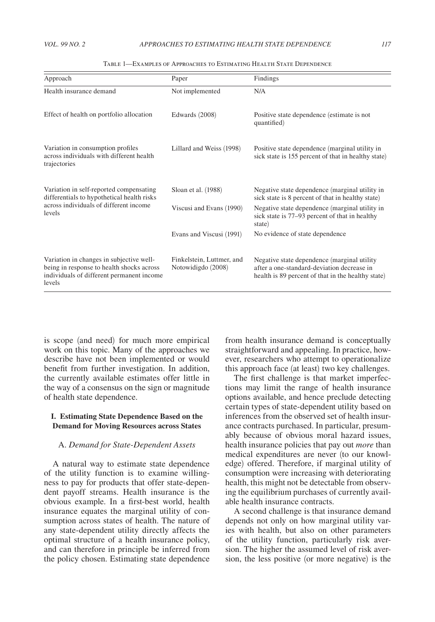| Approach                                                                                                                                     | Paper                                           | Findings                                                                                                                                        |
|----------------------------------------------------------------------------------------------------------------------------------------------|-------------------------------------------------|-------------------------------------------------------------------------------------------------------------------------------------------------|
| Health insurance demand                                                                                                                      | Not implemented                                 | N/A                                                                                                                                             |
| Effect of health on portfolio allocation                                                                                                     | Edwards (2008)                                  | Positive state dependence (estimate is not<br>quantified)                                                                                       |
| Variation in consumption profiles<br>across individuals with different health<br>trajectories                                                | Lillard and Weiss (1998)                        | Positive state dependence (marginal utility in<br>sick state is 155 percent of that in healthy state)                                           |
| Variation in self-reported compensating<br>differentials to hypothetical health risks<br>across individuals of different income<br>levels    | Sloan et al. (1988)                             | Negative state dependence (marginal utility in<br>sick state is 8 percent of that in healthy state)                                             |
|                                                                                                                                              | Viscusi and Evans (1990)                        | Negative state dependence (marginal utility in<br>sick state is 77–93 percent of that in healthy<br>state)                                      |
|                                                                                                                                              | Evans and Viscusi (1991)                        | No evidence of state dependence                                                                                                                 |
| Variation in changes in subjective well-<br>being in response to health shocks across<br>individuals of different permanent income<br>levels | Finkelstein, Luttmer, and<br>Notowidigdo (2008) | Negative state dependence (marginal utility<br>after a one-standard-deviation decrease in<br>health is 89 percent of that in the healthy state) |

Table 1—Examples of Approaches to Estimating Health State Dependence

is scope (and need) for much more empirical work on this topic. Many of the approaches we describe have not been implemented or would benefit from further investigation. In addition, the currently available estimates offer little in the way of a consensus on the sign or magnitude of health state dependence.

## **I. Estimating State Dependence Based on the Demand for Moving Resources across States**

#### A. *Demand for State-Dependent Assets*

A natural way to estimate state dependence of the utility function is to examine willingness to pay for products that offer state-dependent payoff streams. Health insurance is the obvious example. In a first-best world, health insurance equates the marginal utility of consumption across states of health. The nature of any state-dependent utility directly affects the optimal structure of a health insurance policy, and can therefore in principle be inferred from the policy chosen. Estimating state dependence

from health insurance demand is conceptually straightforward and appealing. In practice, however, researchers who attempt to operationalize this approach face (at least) two key challenges.

The first challenge is that market imperfections may limit the range of health insurance options available, and hence preclude detecting certain types of state-dependent utility based on inferences from the observed set of health insurance contracts purchased. In particular, presumably because of obvious moral hazard issues, health insurance policies that pay out *more* than medical expenditures are never (to our knowledge) offered. Therefore, if marginal utility of consumption were increasing with deteriorating health, this might not be detectable from observing the equilibrium purchases of currently available health insurance contracts.

A second challenge is that insurance demand depends not only on how marginal utility varies with health, but also on other parameters of the utility function, particularly risk aversion. The higher the assumed level of risk aversion, the less positive (or more negative) is the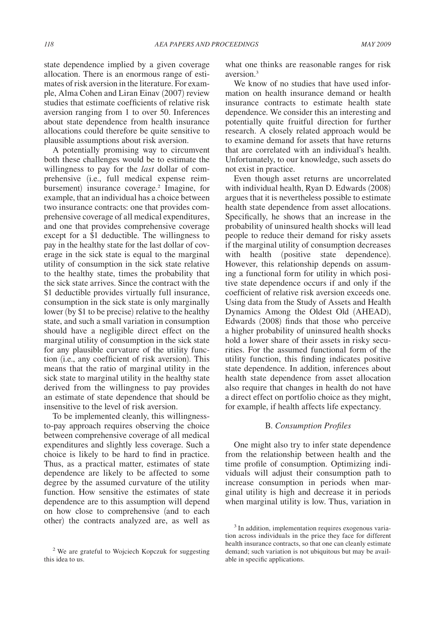state dependence implied by a given coverage allocation. There is an enormous range of estimates of risk aversion in the literature. For example, Alma Cohen and Liran Einav (2007) review studies that estimate coefficients of relative risk aversion ranging from 1 to over 50. Inferences about state dependence from health insurance allocations could therefore be quite sensitive to plausible assumptions about risk aversion.

A potentially promising way to circumvent both these challenges would be to estimate the willingness to pay for the *last* dollar of comprehensive (i.e., full medical expense reimbursement) insurance coverage.2 Imagine, for example, that an individual has a choice between two insurance contracts: one that provides comprehensive coverage of all medical expenditures, and one that provides comprehensive coverage except for a \$1 deductible. The willingness to pay in the healthy state for the last dollar of coverage in the sick state is equal to the marginal utility of consumption in the sick state relative to the healthy state, times the probability that the sick state arrives. Since the contract with the \$1 deductible provides virtually full insurance, consumption in the sick state is only marginally lower (by \$1 to be precise) relative to the healthy state, and such a small variation in consumption should have a negligible direct effect on the marginal utility of consumption in the sick state for any plausible curvature of the utility function (i.e., any coefficient of risk aversion). This means that the ratio of marginal utility in the sick state to marginal utility in the healthy state derived from the willingness to pay provides an estimate of state dependence that should be insensitive to the level of risk aversion.

To be implemented cleanly, this willingnessto-pay approach requires observing the choice between comprehensive coverage of all medical expenditures and slightly less coverage. Such a choice is likely to be hard to find in practice. Thus, as a practical matter, estimates of state dependence are likely to be affected to some degree by the assumed curvature of the utility function. How sensitive the estimates of state dependence are to this assumption will depend on how close to comprehensive (and to each other) the contracts analyzed are, as well as

what one thinks are reasonable ranges for risk aversion.3

We know of no studies that have used information on health insurance demand or health insurance contracts to estimate health state dependence. We consider this an interesting and potentially quite fruitful direction for further research. A closely related approach would be to examine demand for assets that have returns that are correlated with an individual's health. Unfortunately, to our knowledge, such assets do not exist in practice.

Even though asset returns are uncorrelated with individual health, Ryan D. Edwards (2008) argues that it is nevertheless possible to estimate health state dependence from asset allocations. Specifically, he shows that an increase in the probability of uninsured health shocks will lead people to reduce their demand for risky assets if the marginal utility of consumption decreases with health (positive state dependence). However, this relationship depends on assuming a functional form for utility in which positive state dependence occurs if and only if the coefficient of relative risk aversion exceeds one. Using data from the Study of Assets and Health Dynamics Among the Oldest Old (AHEAD), Edwards (2008) finds that those who perceive a higher probability of uninsured health shocks hold a lower share of their assets in risky securities. For the assumed functional form of the utility function, this finding indicates positive state dependence. In addition, inferences about health state dependence from asset allocation also require that changes in health do not have a direct effect on portfolio choice as they might, for example, if health affects life expectancy.

#### B. *Consumption Profiles*

One might also try to infer state dependence from the relationship between health and the time profile of consumption. Optimizing individuals will adjust their consumption path to increase consumption in periods when marginal utility is high and decrease it in periods when marginal utility is low. Thus, variation in

<sup>2</sup> We are grateful to Wojciech Kopczuk for suggesting this idea to us.

<sup>&</sup>lt;sup>3</sup> In addition, implementation requires exogenous variation across individuals in the price they face for different health insurance contracts, so that one can cleanly estimate demand; such variation is not ubiquitous but may be available in specific applications.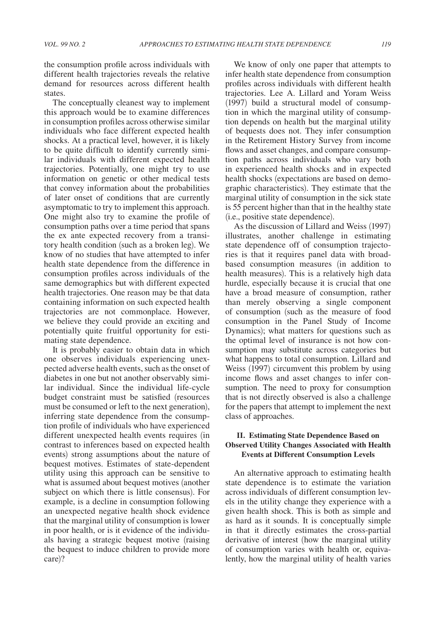the consumption profile across individuals with different health trajectories reveals the relative demand for resources across different health states.

The conceptually cleanest way to implement this approach would be to examine differences in consumption profiles across otherwise similar individuals who face different expected health shocks. At a practical level, however, it is likely to be quite difficult to identify currently similar individuals with different expected health trajectories. Potentially, one might try to use information on genetic or other medical tests that convey information about the probabilities of later onset of conditions that are currently asymptomatic to try to implement this approach. One might also try to examine the profile of consumption paths over a time period that spans the ex ante expected recovery from a transitory health condition (such as a broken leg). We know of no studies that have attempted to infer health state dependence from the difference in consumption profiles across individuals of the same demographics but with different expected health trajectories. One reason may be that data containing information on such expected health trajectories are not commonplace. However, we believe they could provide an exciting and potentially quite fruitful opportunity for estimating state dependence.

It is probably easier to obtain data in which one observes individuals experiencing unexpected adverse health events, such as the onset of diabetes in one but not another observably similar individual. Since the individual life-cycle budget constraint must be satisfied (resources must be consumed or left to the next generation), inferring state dependence from the consumption profile of individuals who have experienced different unexpected health events requires (in contrast to inferences based on expected health events) strong assumptions about the nature of bequest motives. Estimates of state-dependent utility using this approach can be sensitive to what is assumed about bequest motives (another subject on which there is little consensus). For example, is a decline in consumption following an unexpected negative health shock evidence that the marginal utility of consumption is lower in poor health, or is it evidence of the individuals having a strategic bequest motive (raising the bequest to induce children to provide more care)?

We know of only one paper that attempts to infer health state dependence from consumption profiles across individuals with different health trajectories. Lee A. Lillard and Yoram Weiss (1997) build a structural model of consumption in which the marginal utility of consumption depends on health but the marginal utility of bequests does not. They infer consumption in the Retirement History Survey from income flows and asset changes, and compare consumption paths across individuals who vary both in experienced health shocks and in expected health shocks (expectations are based on demographic characteristics). They estimate that the marginal utility of consumption in the sick state is 55 percent higher than that in the healthy state (i.e., positive state dependence).

As the discussion of Lillard and Weiss (1997) illustrates, another challenge in estimating state dependence off of consumption trajectories is that it requires panel data with broadbased consumption measures (in addition to health measures). This is a relatively high data hurdle, especially because it is crucial that one have a broad measure of consumption, rather than merely observing a single component of consumption (such as the measure of food consumption in the Panel Study of Income Dynamics); what matters for questions such as the optimal level of insurance is not how consumption may substitute across categories but what happens to total consumption. Lillard and Weiss (1997) circumvent this problem by using income flows and asset changes to infer consumption. The need to proxy for consumption that is not directly observed is also a challenge for the papers that attempt to implement the next class of approaches.

## **II. Estimating State Dependence Based on Observed Utility Changes Associated with Health Events at Different Consumption Levels**

An alternative approach to estimating health state dependence is to estimate the variation across individuals of different consumption levels in the utility change they experience with a given health shock. This is both as simple and as hard as it sounds. It is conceptually simple in that it directly estimates the cross-partial derivative of interest (how the marginal utility of consumption varies with health or, equivalently, how the marginal utility of health varies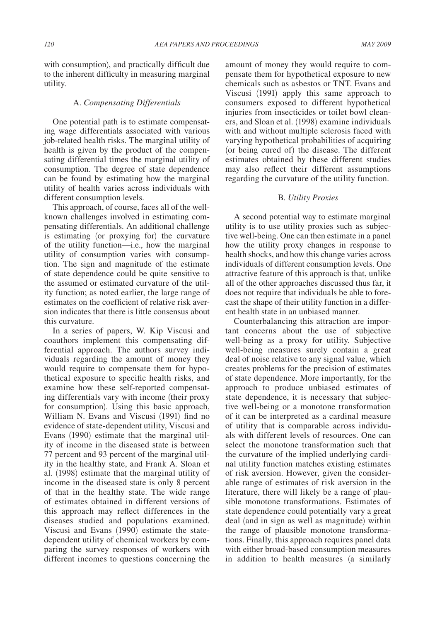with consumption), and practically difficult due to the inherent difficulty in measuring marginal utility.

#### A. *Compensating Differentials*

One potential path is to estimate compensating wage differentials associated with various job-related health risks. The marginal utility of health is given by the product of the compensating differential times the marginal utility of consumption. The degree of state dependence can be found by estimating how the marginal utility of health varies across individuals with different consumption levels.

This approach, of course, faces all of the wellknown challenges involved in estimating compensating differentials. An additional challenge is estimating (or proxying for) the curvature of the utility function—i.e., how the marginal utility of consumption varies with consumption. The sign and magnitude of the estimate of state dependence could be quite sensitive to the assumed or estimated curvature of the utility function; as noted earlier, the large range of estimates on the coefficient of relative risk aversion indicates that there is little consensus about this curvature.

In a series of papers, W. Kip Viscusi and coauthors implement this compensating differential approach. The authors survey individuals regarding the amount of money they would require to compensate them for hypothetical exposure to specific health risks, and examine how these self-reported compensating differentials vary with income (their proxy for consumption). Using this basic approach, William N. Evans and Viscusi (1991) find no evidence of state-dependent utility, Viscusi and Evans (1990) estimate that the marginal utility of income in the diseased state is between 77 percent and 93 percent of the marginal utility in the healthy state, and Frank A. Sloan et al. (1998) estimate that the marginal utility of income in the diseased state is only 8 percent of that in the healthy state. The wide range of estimates obtained in different versions of this approach may reflect differences in the diseases studied and populations examined. Viscusi and Evans (1990) estimate the statedependent utility of chemical workers by comparing the survey responses of workers with different incomes to questions concerning the amount of money they would require to compensate them for hypothetical exposure to new chemicals such as asbestos or TNT. Evans and Viscusi (1991) apply this same approach to consumers exposed to different hypothetical injuries from insecticides or toilet bowl cleaners, and Sloan et al. (1998) examine individuals with and without multiple sclerosis faced with varying hypothetical probabilities of acquiring (or being cured of) the disease. The different estimates obtained by these different studies may also reflect their different assumptions regarding the curvature of the utility function.

## B. *Utility Proxies*

A second potential way to estimate marginal utility is to use utility proxies such as subjective well-being. One can then estimate in a panel how the utility proxy changes in response to health shocks, and how this change varies across individuals of different consumption levels. One attractive feature of this approach is that, unlike all of the other approaches discussed thus far, it does not require that individuals be able to forecast the shape of their utility function in a different health state in an unbiased manner.

Counterbalancing this attraction are important concerns about the use of subjective well-being as a proxy for utility. Subjective well-being measures surely contain a great deal of noise relative to any signal value, which creates problems for the precision of estimates of state dependence. More importantly, for the approach to produce unbiased estimates of state dependence, it is necessary that subjective well-being or a monotone transformation of it can be interpreted as a cardinal measure of utility that is comparable across individuals with different levels of resources. One can select the monotone transformation such that the curvature of the implied underlying cardinal utility function matches existing estimates of risk aversion. However, given the considerable range of estimates of risk aversion in the literature, there will likely be a range of plausible monotone transformations. Estimates of state dependence could potentially vary a great deal (and in sign as well as magnitude) within the range of plausible monotone transformations. Finally, this approach requires panel data with either broad-based consumption measures in addition to health measures (a similarly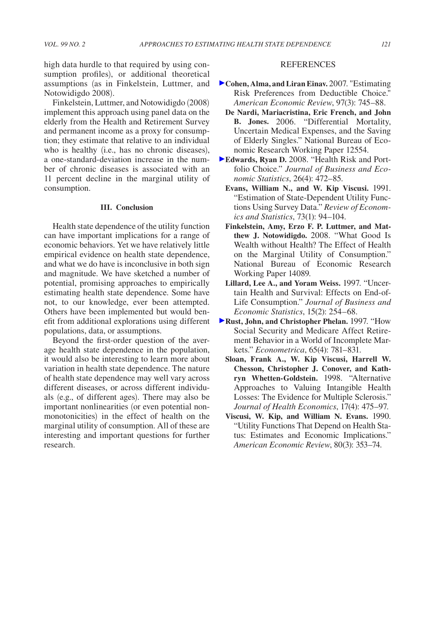high data hurdle to that required by using consumption profiles), or additional theoretical assumptions (as in Finkelstein, Luttmer, and Notowidigdo 2008).

Finkelstein, Luttmer, and Notowidigdo (2008) implement this approach using panel data on the elderly from the Health and Retirement Survey and permanent income as a proxy for consumption; they estimate that relative to an individual who is healthy (i.e., has no chronic diseases), a one-standard-deviation increase in the number of chronic diseases is associated with an 11 percent decline in the marginal utility of consumption.

#### **III. Conclusion**

Health state dependence of the utility function can have important implications for a range of economic behaviors. Yet we have relatively little empirical evidence on health state dependence, and what we do have is inconclusive in both sign and magnitude. We have sketched a number of potential, promising approaches to empirically estimating health state dependence. Some have not, to our knowledge, ever been attempted. Others have been implemented but would benefit from additional explorations using different populations, data, or assumptions.

Beyond the first-order question of the average health state dependence in the population, it would also be interesting to learn more about variation in health state dependence. The nature of health state dependence may well vary across different diseases, or across different individuals (e.g., of different ages). There may also be important nonlinearities (or even potential nonmonotonicities) in the effect of health on the marginal utility of consumption. All of these are interesting and important questions for further research.

## **REFERENCES**

- **Cohen, Alma, and Liran Einav. 2007.** "Estimating Risk Preferences from Deductible Choice." *American Economic Review*, 97(3): 745–88.
	- **De Nardi, Mariacristina, Eric French, and John B. Jones.** 2006. "Differential Mortality, Uncertain Medical Expenses, and the Saving of Elderly Singles." National Bureau of Economic Research Working Paper 12554.
- **Edwards, Ryan D.** 2008. "Health Risk and Portfolio Choice." *Journal of Business and Economic Statistics*, 26(4): 472–85.
	- **Evans, William N., and W. Kip Viscusi.** 1991. "Estimation of State-Dependent Utility Functions Using Survey Data." *Review of Economics and Statistics*, 73(1): 94–104.
	- **Finkelstein, Amy, Erzo F. P. Luttmer, and Matthew J. Notowidigdo.** 2008. "What Good Is Wealth without Health? The Effect of Health on the Marginal Utility of Consumption." National Bureau of Economic Research Working Paper 14089.
	- **Lillard, Lee A., and Yoram Weiss.** 1997. "Uncertain Health and Survival: Effects on End-of-Life Consumption." *Journal of Business and Economic Statistics*, 15(2): 254–68.
- **Rust, John, and Christopher Phelan.** 1997. "How Social Security and Medicare Affect Retirement Behavior in a World of Incomplete Markets." *Econometrica*, 65(4): 781–831.
	- **Sloan, Frank A., W. Kip Viscusi, Harrell W. Chesson, Christopher J. Conover, and Kathryn Whetten-Goldstein.** 1998. "Alternative Approaches to Valuing Intangible Health Losses: The Evidence for Multiple Sclerosis." *Journal of Health Economics*, 17(4): 475–97.
	- **Viscusi, W. Kip, and William N. Evans.** 1990. "Utility Functions That Depend on Health Status: Estimates and Economic Implications." *American Economic Review*, 80(3): 353–74.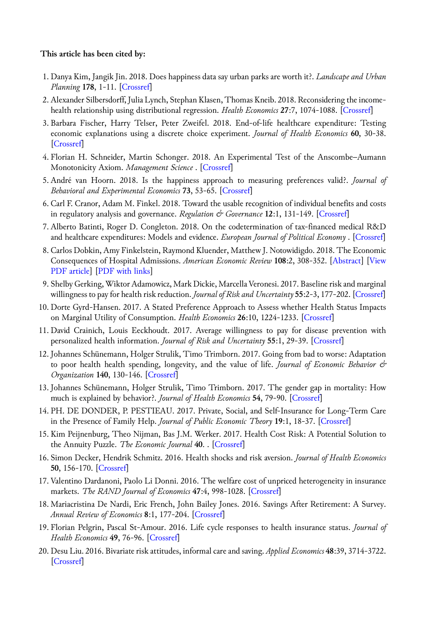# **This article has been cited by:**

- 1.Danya Kim, Jangik Jin. 2018. Does happiness data say urban parks are worth it?. *Landscape and Urban Planning* **178**, 1-11. [\[Crossref](https://doi.org/10.1016/j.landurbplan.2018.05.010)]
- 2. Alexander Silbersdorff, Julia Lynch, Stephan Klasen, Thomas Kneib. 2018. Reconsidering the incomehealth relationship using distributional regression. *Health Economics* **27**:7, 1074-1088. [\[Crossref](https://doi.org/10.1002/hec.3656)]
- 3. Barbara Fischer, Harry Telser, Peter Zweifel. 2018. End-of-life healthcare expenditure: Testing economic explanations using a discrete choice experiment. *Journal of Health Economics* **60**, 30-38. [\[Crossref](https://doi.org/10.1016/j.jhealeco.2018.06.001)]
- 4. Florian H. Schneider, Martin Schonger. 2018. An Experimental Test of the Anscombe–Aumann Monotonicity Axiom. *Management Science* . [[Crossref\]](https://doi.org/10.1287/mnsc.2017.3010)
- 5. André van Hoorn. 2018. Is the happiness approach to measuring preferences valid?. *Journal of Behavioral and Experimental Economics* **73**, 53-65. [[Crossref\]](https://doi.org/10.1016/j.socec.2018.02.002)
- 6. Carl F. Cranor, Adam M. Finkel. 2018. Toward the usable recognition of individual benefits and costs in regulatory analysis and governance. *Regulation & Governance* 12:1, 131-149. [[Crossref\]](https://doi.org/10.1111/rego.12128)
- 7. Alberto Batinti, Roger D. Congleton. 2018. On the codetermination of tax-financed medical R&D and healthcare expenditures: Models and evidence. *European Journal of Political Economy* . [[Crossref\]](https://doi.org/10.1016/j.ejpoleco.2018.03.006)
- 8. Carlos Dobkin, Amy Finkelstein, Raymond Kluender, Matthew J. Notowidigdo. 2018. The Economic Consequences of Hospital Admissions. *American Economic Review* **108**:2, 308-352. [\[Abstract](https://doi.org/10.1257/aer.20161038)] [\[View](http://pubs.aeaweb.org/doi/pdf/10.1257/aer.20161038) [PDF article\]](http://pubs.aeaweb.org/doi/pdf/10.1257/aer.20161038) [[PDF with links\]](http://pubs.aeaweb.org/doi/pdfplus/10.1257/aer.20161038)
- 9. Shelby Gerking, Wiktor Adamowicz, Mark Dickie, Marcella Veronesi. 2017. Baseline risk and marginal willingness to pay for health risk reduction. *Journal of Risk and Uncertainty* **55**:2-3, 177-202. [[Crossref\]](https://doi.org/10.1007/s11166-017-9267-x)
- 10.Dorte Gyrd-Hansen. 2017. A Stated Preference Approach to Assess whether Health Status Impacts on Marginal Utility of Consumption. *Health Economics* **26**:10, 1224-1233. [\[Crossref](https://doi.org/10.1002/hec.3393)]
- 11.David Crainich, Louis Eeckhoudt. 2017. Average willingness to pay for disease prevention with personalized health information. *Journal of Risk and Uncertainty* **55**:1, 29-39. [\[Crossref](https://doi.org/10.1007/s11166-017-9265-z)]
- 12. Johannes Schünemann, Holger Strulik, Timo Trimborn. 2017. Going from bad to worse: Adaptation to poor health health spending, longevity, and the value of life. *Journal of Economic Behavior & Organization* **140**, 130-146. [\[Crossref](https://doi.org/10.1016/j.jebo.2017.02.018)]
- 13. Johannes Schünemann, Holger Strulik, Timo Trimborn. 2017. The gender gap in mortality: How much is explained by behavior?. *Journal of Health Economics* **54**, 79-90. [[Crossref\]](https://doi.org/10.1016/j.jhealeco.2017.04.002)
- 14. PH. DE DONDER, P. PESTIEAU. 2017. Private, Social, and Self-Insurance for Long-Term Care in the Presence of Family Help. *Journal of Public Economic Theory* **19**:1, 18-37. [[Crossref\]](https://doi.org/10.1111/jpet.12163)
- 15. Kim Peijnenburg, Theo Nijman, Bas J.M. Werker. 2017. Health Cost Risk: A Potential Solution to the Annuity Puzzle. *The Economic Journal* **40**. . [[Crossref\]](https://doi.org/10.1111/ecoj.12354)
- 16. Simon Decker, Hendrik Schmitz. 2016. Health shocks and risk aversion. *Journal of Health Economics* **50**, 156-170. [\[Crossref](https://doi.org/10.1016/j.jhealeco.2016.09.006)]
- 17. Valentino Dardanoni, Paolo Li Donni. 2016. The welfare cost of unpriced heterogeneity in insurance markets. *The RAND Journal of Economics* **47**:4, 998-1028. [[Crossref\]](https://doi.org/10.1111/1756-2171.12164)
- 18. Mariacristina De Nardi, Eric French, John Bailey Jones. 2016. Savings After Retirement: A Survey. *Annual Review of Economics* **8**:1, 177-204. [[Crossref\]](https://doi.org/10.1146/annurev-economics-080315-015127)
- 19. Florian Pelgrin, Pascal St-Amour. 2016. Life cycle responses to health insurance status. *Journal of Health Economics* **49**, 76-96. [\[Crossref](https://doi.org/10.1016/j.jhealeco.2016.06.007)]
- 20.Desu Liu. 2016. Bivariate risk attitudes, informal care and saving. *Applied Economics* **48**:39, 3714-3722. [\[Crossref](https://doi.org/10.1080/00036846.2016.1142664)]